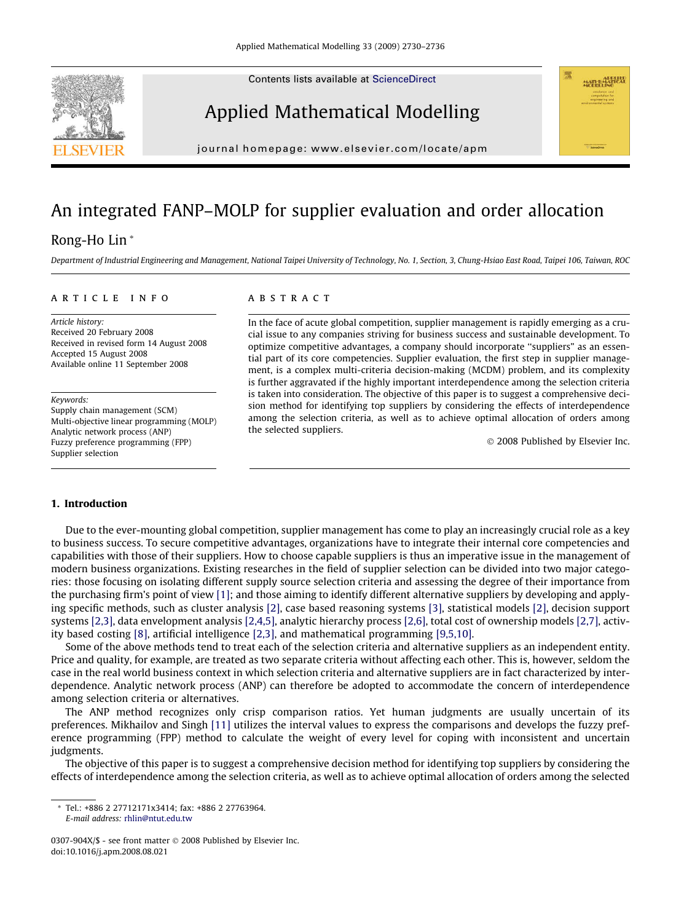Contents lists available at [ScienceDirect](http://www.sciencedirect.com/science/journal/0307904X)







journal homepage: [www.elsevier.com/locate/apm](http://www.elsevier.com/locate/apm)

## An integrated FANP–MOLP for supplier evaluation and order allocation

### Rong-Ho Lin \*

Department of Industrial Engineering and Management, National Taipei University of Technology, No. 1, Section, 3, Chung-Hsiao East Road, Taipei 106, Taiwan, ROC

#### article info

Article history: Received 20 February 2008 Received in revised form 14 August 2008 Accepted 15 August 2008 Available online 11 September 2008

Keywords:

Supply chain management (SCM) Multi-objective linear programming (MOLP) Analytic network process (ANP) Fuzzy preference programming (FPP) Supplier selection

#### **ABSTRACT**

In the face of acute global competition, supplier management is rapidly emerging as a crucial issue to any companies striving for business success and sustainable development. To optimize competitive advantages, a company should incorporate ''suppliers" as an essential part of its core competencies. Supplier evaluation, the first step in supplier management, is a complex multi-criteria decision-making (MCDM) problem, and its complexity is further aggravated if the highly important interdependence among the selection criteria is taken into consideration. The objective of this paper is to suggest a comprehensive decision method for identifying top suppliers by considering the effects of interdependence among the selection criteria, as well as to achieve optimal allocation of orders among the selected suppliers.

© 2008 Published by Elsevier Inc.

#### 1. Introduction

Due to the ever-mounting global competition, supplier management has come to play an increasingly crucial role as a key to business success. To secure competitive advantages, organizations have to integrate their internal core competencies and capabilities with those of their suppliers. How to choose capable suppliers is thus an imperative issue in the management of modern business organizations. Existing researches in the field of supplier selection can be divided into two major categories: those focusing on isolating different supply source selection criteria and assessing the degree of their importance from the purchasing firm's point of view [\[1\]](#page--1-0); and those aiming to identify different alternative suppliers by developing and applying specific methods, such as cluster analysis [\[2\],](#page--1-0) case based reasoning systems [\[3\]](#page--1-0), statistical models [\[2\]](#page--1-0), decision support systems [\[2,3\],](#page--1-0) data envelopment analysis [\[2,4,5\]](#page--1-0), analytic hierarchy process [\[2,6\],](#page--1-0) total cost of ownership models [\[2,7\],](#page--1-0) activity based costing [\[8\],](#page--1-0) artificial intelligence [\[2,3\]](#page--1-0), and mathematical programming [\[9,5,10\]](#page--1-0).

Some of the above methods tend to treat each of the selection criteria and alternative suppliers as an independent entity. Price and quality, for example, are treated as two separate criteria without affecting each other. This is, however, seldom the case in the real world business context in which selection criteria and alternative suppliers are in fact characterized by interdependence. Analytic network process (ANP) can therefore be adopted to accommodate the concern of interdependence among selection criteria or alternatives.

The ANP method recognizes only crisp comparison ratios. Yet human judgments are usually uncertain of its preferences. Mikhailov and Singh [\[11\]](#page--1-0) utilizes the interval values to express the comparisons and develops the fuzzy preference programming (FPP) method to calculate the weight of every level for coping with inconsistent and uncertain judgments.

The objective of this paper is to suggest a comprehensive decision method for identifying top suppliers by considering the effects of interdependence among the selection criteria, as well as to achieve optimal allocation of orders among the selected

\* Tel.: +886 2 27712171x3414; fax: +886 2 27763964. E-mail address: [rhlin@ntut.edu.tw](mailto:rhlin@ntut.edu.tw)

<sup>0307-904</sup>X/\$ - see front matter © 2008 Published by Elsevier Inc. doi:10.1016/j.apm.2008.08.021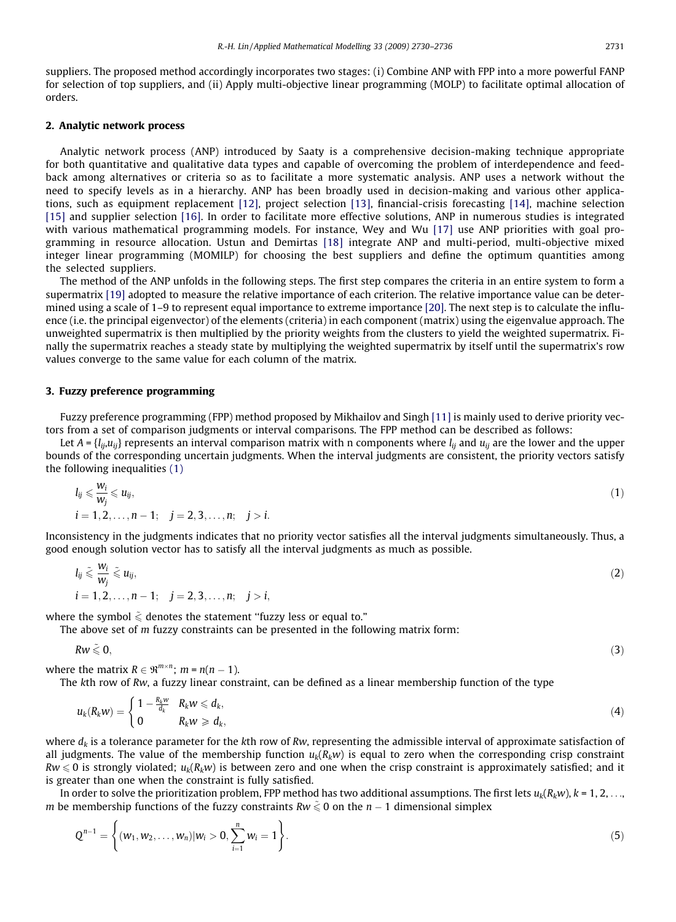suppliers. The proposed method accordingly incorporates two stages: (i) Combine ANP with FPP into a more powerful FANP for selection of top suppliers, and (ii) Apply multi-objective linear programming (MOLP) to facilitate optimal allocation of orders.

#### 2. Analytic network process

Analytic network process (ANP) introduced by Saaty is a comprehensive decision-making technique appropriate for both quantitative and qualitative data types and capable of overcoming the problem of interdependence and feedback among alternatives or criteria so as to facilitate a more systematic analysis. ANP uses a network without the need to specify levels as in a hierarchy. ANP has been broadly used in decision-making and various other applications, such as equipment replacement [\[12\]](#page--1-0), project selection [\[13\],](#page--1-0) financial-crisis forecasting [\[14\],](#page--1-0) machine selection [\[15\]](#page--1-0) and supplier selection [\[16\].](#page--1-0) In order to facilitate more effective solutions, ANP in numerous studies is integrated with various mathematical programming models. For instance, Wey and Wu [\[17\]](#page--1-0) use ANP priorities with goal programming in resource allocation. Ustun and Demirtas [\[18\]](#page--1-0) integrate ANP and multi-period, multi-objective mixed integer linear programming (MOMILP) for choosing the best suppliers and define the optimum quantities among the selected suppliers.

The method of the ANP unfolds in the following steps. The first step compares the criteria in an entire system to form a supermatrix [\[19\]](#page--1-0) adopted to measure the relative importance of each criterion. The relative importance value can be determined using a scale of 1–9 to represent equal importance to extreme importance [\[20\].](#page--1-0) The next step is to calculate the influence (i.e. the principal eigenvector) of the elements (criteria) in each component (matrix) using the eigenvalue approach. The unweighted supermatrix is then multiplied by the priority weights from the clusters to yield the weighted supermatrix. Finally the supermatrix reaches a steady state by multiplying the weighted supermatrix by itself until the supermatrix's row values converge to the same value for each column of the matrix.

#### 3. Fuzzy preference programming

Fuzzy preference programming (FPP) method proposed by Mikhailov and Singh [\[11\]](#page--1-0) is mainly used to derive priority vectors from a set of comparison judgments or interval comparisons. The FPP method can be described as follows:

Let  $A = \{l_{ij}, u_{ij}\}$  represents an interval comparison matrix with n components where  $l_{ij}$  and  $u_{ij}$  are the lower and the upper bounds of the corresponding uncertain judgments. When the interval judgments are consistent, the priority vectors satisfy the following inequalities (1)

$$
l_{ij} \leqslant \frac{w_i}{w_j} \leqslant u_{ij},
$$
  
\n
$$
i = 1, 2, \ldots, n-1; \quad j = 2, 3, \ldots, n; \quad j > i.
$$
\n
$$
(1)
$$

Inconsistency in the judgments indicates that no priority vector satisfies all the interval judgments simultaneously. Thus, a good enough solution vector has to satisfy all the interval judgments as much as possible.

$$
l_{ij} \leqslant \frac{w_i}{w_j} \leqslant u_{ij},
$$
  
\n $i = 1, 2, \ldots, n-1; \quad j = 2, 3, \ldots, n; \quad j > i,$  (2)

where the symbol  $\tilde{\le}$  denotes the statement "fuzzy less or equal to."

The above set of  $m$  fuzzy constraints can be presented in the following matrix form:

 $Rw \leqslant 0,$  (3)

 $\ddotsc$ 

where the matrix  $R \in \mathbb{R}^{m \times n}$ ;  $m = n(n - 1)$ .

The kth row of Rw, a fuzzy linear constraint, can be defined as a linear membership function of the type

$$
u_k(R_k w) = \begin{cases} 1 - \frac{R_k w}{d_k} & R_k w \leqslant d_k, \\ 0 & R_k w \geqslant d_k, \end{cases} \tag{4}
$$

where  $d_k$  is a tolerance parameter for the kth row of Rw, representing the admissible interval of approximate satisfaction of all judgments. The value of the membership function  $u_k(R_kw)$  is equal to zero when the corresponding crisp constraint  $Rw \le 0$  is strongly violated;  $u_k(R_kw)$  is between zero and one when the crisp constraint is approximately satisfied; and it is greater than one when the constraint is fully satisfied.

In order to solve the prioritization problem, FPP method has two additional assumptions. The first lets  $u_k(R_kw)$ ,  $k = 1, 2, \ldots$ m be membership functions of the fuzzy constraints Rw  $\tilde{\le}$  0 on the n – 1 dimensional simplex

$$
Q^{n-1} = \left\{ (w_1, w_2, \dots, w_n) | w_i > 0, \sum_{i=1}^n w_i = 1 \right\}.
$$
 (5)